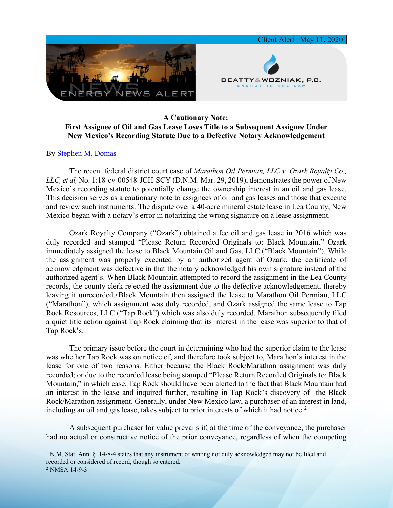

## **A Cautionary Note: First Assignee of Oil and Gas Lease Loses Title to a Subsequent Assignee Under New Mexico's Recording Statute Due to a Defective Notary Acknowledgement**

## By [Stephen M. Domas](https://www.bwenergylaw.com/stephen-domas)

The recent federal district court case of *Marathon Oil Permian, LLC v. Ozark Royalty Co., LLC, et al,* No. 1:18-cv-00548-JCH-SCY (D.N.M. Mar. 29, 2019), demonstrates the power of New Mexico's recording statute to potentially change the ownership interest in an oil and gas lease. This decision serves as a cautionary note to assignees of oil and gas leases and those that execute and review such instruments. The dispute over a 40-acre mineral estate lease in Lea County, New Mexico began with a notary's error in notarizing the wrong signature on a lease assignment.

Ozark Royalty Company ("Ozark") obtained a fee oil and gas lease in 2016 which was duly recorded and stamped "Please Return Recorded Originals to: Black Mountain." Ozark immediately assigned the lease to Black Mountain Oil and Gas, LLC ("Black Mountain"). While the assignment was properly executed by an authorized agent of Ozark, the certificate of acknowledgment was defective in that the notary acknowledged his own signature instead of the authorized agent's. When Black Mountain attempted to record the assignment in the Lea County records, the county clerk rejected the assignment due to the defective acknowledgement, thereby leaving it unrecorded. Black Mountain then assigned the lease to Marathon Oil Permian, LLC ("Marathon"), which assignment was duly recorded, and Ozark assigned the same lease to Tap Rock Resources, LLC ("Tap Rock") which was also duly recorded. Marathon subsequently filed a quiet title action against Tap Rock claiming that its interest in the lease was superior to that of Tap Rock's.

The primary issue before the court in determining who had the superior claim to the lease was whether Tap Rock was on notice of, and therefore took subject to, Marathon's interest in the lease for one of two reasons. Either because the Black Rock/Marathon assignment was duly recorded; or due to the recorded lease being stamped "Please Return Recorded Originals to: Black Mountain," in which case, Tap Rock should have been alerted to the fact that Black Mountain had an interest in the lease and inquired further, resulting in Tap Rock's discovery of the Black Rock/Marathon assignment. Generally, under New Mexico law, a purchaser of an interest in land, including an oil and gas lease, takes subject to prior interests of which it had notice.<sup>[2](#page-0-1)</sup>

A subsequent purchaser for value prevails if, at the time of the conveyance, the purchaser had no actual or constructive notice of the prior conveyance, regardless of when the competing

<span id="page-0-0"></span><sup>&</sup>lt;sup>1</sup> N.M. Stat. Ann. § 14-8-4 states that any instrument of writing not duly acknowledged may not be filed and recorded or considered of record, though so entered.

<span id="page-0-1"></span><sup>2</sup> NMSA 14-9-3